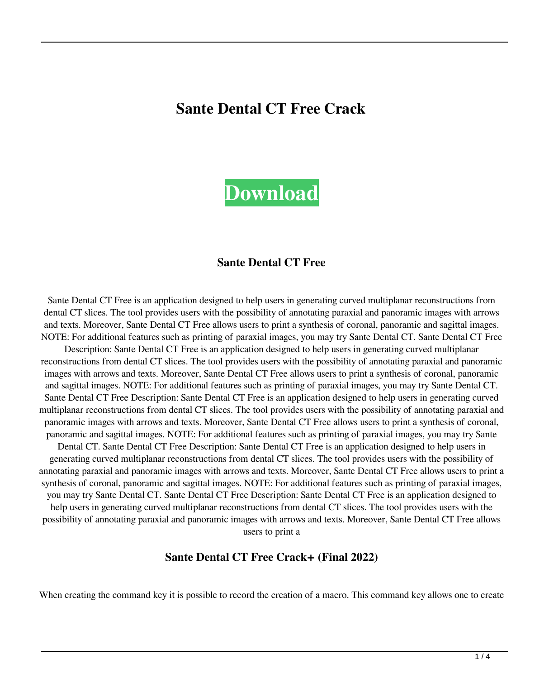# **Sante Dental CT Free Crack**



#### **Sante Dental CT Free**

Sante Dental CT Free is an application designed to help users in generating curved multiplanar reconstructions from dental CT slices. The tool provides users with the possibility of annotating paraxial and panoramic images with arrows and texts. Moreover, Sante Dental CT Free allows users to print a synthesis of coronal, panoramic and sagittal images. NOTE: For additional features such as printing of paraxial images, you may try Sante Dental CT. Sante Dental CT Free

Description: Sante Dental CT Free is an application designed to help users in generating curved multiplanar reconstructions from dental CT slices. The tool provides users with the possibility of annotating paraxial and panoramic images with arrows and texts. Moreover, Sante Dental CT Free allows users to print a synthesis of coronal, panoramic and sagittal images. NOTE: For additional features such as printing of paraxial images, you may try Sante Dental CT. Sante Dental CT Free Description: Sante Dental CT Free is an application designed to help users in generating curved multiplanar reconstructions from dental CT slices. The tool provides users with the possibility of annotating paraxial and panoramic images with arrows and texts. Moreover, Sante Dental CT Free allows users to print a synthesis of coronal, panoramic and sagittal images. NOTE: For additional features such as printing of paraxial images, you may try Sante Dental CT. Sante Dental CT Free Description: Sante Dental CT Free is an application designed to help users in generating curved multiplanar reconstructions from dental CT slices. The tool provides users with the possibility of annotating paraxial and panoramic images with arrows and texts. Moreover, Sante Dental CT Free allows users to print a synthesis of coronal, panoramic and sagittal images. NOTE: For additional features such as printing of paraxial images, you may try Sante Dental CT. Sante Dental CT Free Description: Sante Dental CT Free is an application designed to help users in generating curved multiplanar reconstructions from dental CT slices. The tool provides users with the possibility of annotating paraxial and panoramic images with arrows and texts. Moreover, Sante Dental CT Free allows users to print a

#### **Sante Dental CT Free Crack+ (Final 2022)**

When creating the command key it is possible to record the creation of a macro. This command key allows one to create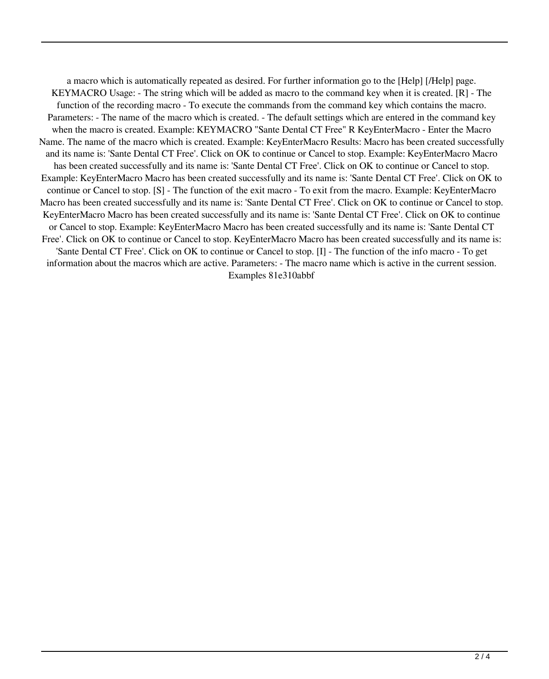a macro which is automatically repeated as desired. For further information go to the [Help] [/Help] page. KEYMACRO Usage: - The string which will be added as macro to the command key when it is created. [R] - The function of the recording macro - To execute the commands from the command key which contains the macro. Parameters: - The name of the macro which is created. - The default settings which are entered in the command key when the macro is created. Example: KEYMACRO "Sante Dental CT Free" R KeyEnterMacro - Enter the Macro Name. The name of the macro which is created. Example: KeyEnterMacro Results: Macro has been created successfully and its name is: 'Sante Dental CT Free'. Click on OK to continue or Cancel to stop. Example: KeyEnterMacro Macro has been created successfully and its name is: 'Sante Dental CT Free'. Click on OK to continue or Cancel to stop. Example: KeyEnterMacro Macro has been created successfully and its name is: 'Sante Dental CT Free'. Click on OK to continue or Cancel to stop. [S] - The function of the exit macro - To exit from the macro. Example: KeyEnterMacro Macro has been created successfully and its name is: 'Sante Dental CT Free'. Click on OK to continue or Cancel to stop. KeyEnterMacro Macro has been created successfully and its name is: 'Sante Dental CT Free'. Click on OK to continue or Cancel to stop. Example: KeyEnterMacro Macro has been created successfully and its name is: 'Sante Dental CT Free'. Click on OK to continue or Cancel to stop. KeyEnterMacro Macro has been created successfully and its name is: 'Sante Dental CT Free'. Click on OK to continue or Cancel to stop. [I] - The function of the info macro - To get information about the macros which are active. Parameters: - The macro name which is active in the current session. Examples 81e310abbf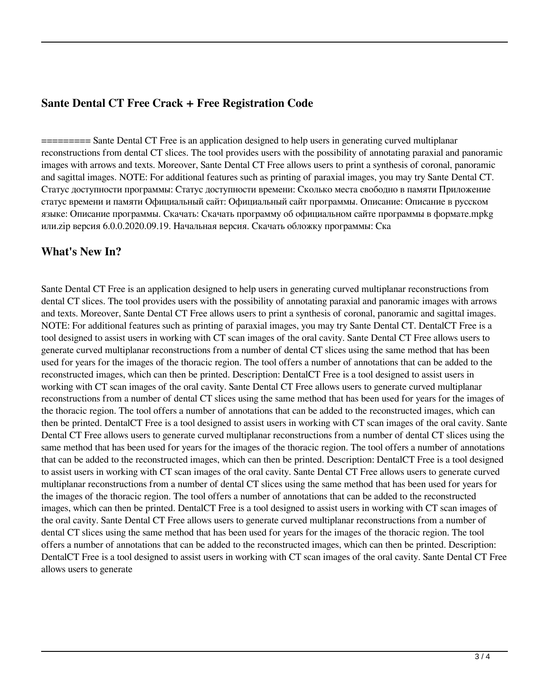### **Sante Dental CT Free Crack + Free Registration Code**

========= Sante Dental CT Free is an application designed to help users in generating curved multiplanar reconstructions from dental CT slices. The tool provides users with the possibility of annotating paraxial and panoramic images with arrows and texts. Moreover, Sante Dental CT Free allows users to print a synthesis of coronal, panoramic and sagittal images. NOTE: For additional features such as printing of paraxial images, you may try Sante Dental CT. Статус доступности программы: Статус доступности времени: Сколько места свободно в памяти Приложение статус времени и памяти Официальный сайт: Официальный сайт программы. Описание: Описание в русском языке: Описание программы. Скачать: Скачать программу об официальном сайте программы в формате.mpkg или.zip версия 6.0.0.2020.09.19. Начальная версия. Скачать обложку программы: Ска

#### **What's New In?**

Sante Dental CT Free is an application designed to help users in generating curved multiplanar reconstructions from dental CT slices. The tool provides users with the possibility of annotating paraxial and panoramic images with arrows and texts. Moreover, Sante Dental CT Free allows users to print a synthesis of coronal, panoramic and sagittal images. NOTE: For additional features such as printing of paraxial images, you may try Sante Dental CT. DentalCT Free is a tool designed to assist users in working with CT scan images of the oral cavity. Sante Dental CT Free allows users to generate curved multiplanar reconstructions from a number of dental CT slices using the same method that has been used for years for the images of the thoracic region. The tool offers a number of annotations that can be added to the reconstructed images, which can then be printed. Description: DentalCT Free is a tool designed to assist users in working with CT scan images of the oral cavity. Sante Dental CT Free allows users to generate curved multiplanar reconstructions from a number of dental CT slices using the same method that has been used for years for the images of the thoracic region. The tool offers a number of annotations that can be added to the reconstructed images, which can then be printed. DentalCT Free is a tool designed to assist users in working with CT scan images of the oral cavity. Sante Dental CT Free allows users to generate curved multiplanar reconstructions from a number of dental CT slices using the same method that has been used for years for the images of the thoracic region. The tool offers a number of annotations that can be added to the reconstructed images, which can then be printed. Description: DentalCT Free is a tool designed to assist users in working with CT scan images of the oral cavity. Sante Dental CT Free allows users to generate curved multiplanar reconstructions from a number of dental CT slices using the same method that has been used for years for the images of the thoracic region. The tool offers a number of annotations that can be added to the reconstructed images, which can then be printed. DentalCT Free is a tool designed to assist users in working with CT scan images of the oral cavity. Sante Dental CT Free allows users to generate curved multiplanar reconstructions from a number of dental CT slices using the same method that has been used for years for the images of the thoracic region. The tool offers a number of annotations that can be added to the reconstructed images, which can then be printed. Description: DentalCT Free is a tool designed to assist users in working with CT scan images of the oral cavity. Sante Dental CT Free allows users to generate